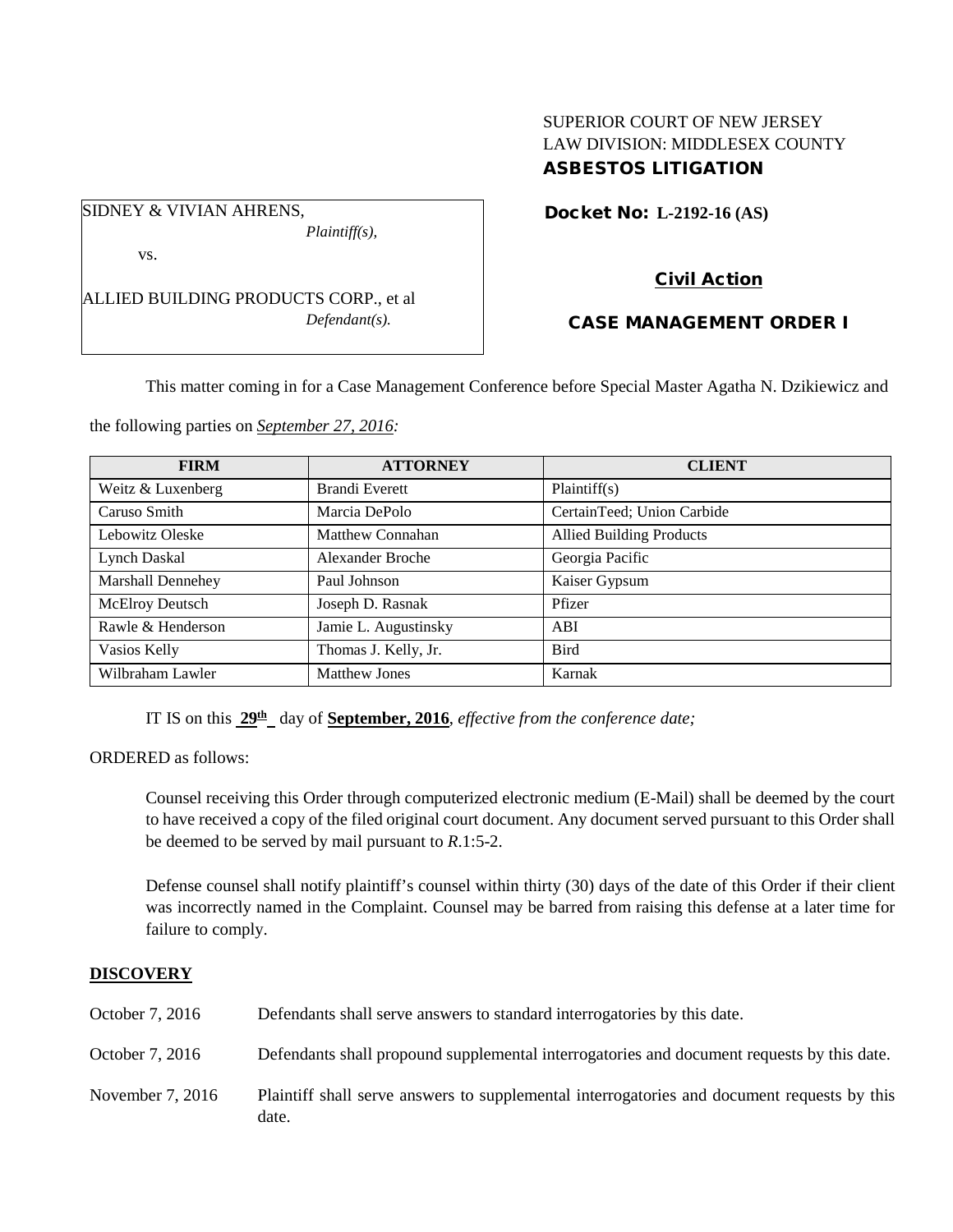# SUPERIOR COURT OF NEW JERSEY LAW DIVISION: MIDDLESEX COUNTY ASBESTOS LITIGATION

Docket No: **L-2192-16 (AS)** 

vs.

SIDNEY & VIVIAN AHRENS,

ALLIED BUILDING PRODUCTS CORP., et al *Defendant(s).*

*Plaintiff(s),*

# Civil Action

# CASE MANAGEMENT ORDER I

This matter coming in for a Case Management Conference before Special Master Agatha N. Dzikiewicz and

the following parties on *September 27, 2016:*

| <b>FIRM</b>       | <b>ATTORNEY</b>         | <b>CLIENT</b>                   |
|-------------------|-------------------------|---------------------------------|
| Weitz & Luxenberg | Brandi Everett          | Plaintiff(s)                    |
| Caruso Smith      | Marcia DePolo           | CertainTeed; Union Carbide      |
| Lebowitz Oleske   | Matthew Connahan        | <b>Allied Building Products</b> |
| Lynch Daskal      | <b>Alexander Broche</b> | Georgia Pacific                 |
| Marshall Dennehey | Paul Johnson            | Kaiser Gypsum                   |
| McElroy Deutsch   | Joseph D. Rasnak        | Pfizer                          |
| Rawle & Henderson | Jamie L. Augustinsky    | ABI                             |
| Vasios Kelly      | Thomas J. Kelly, Jr.    | <b>Bird</b>                     |
| Wilbraham Lawler  | <b>Matthew Jones</b>    | Karnak                          |

IT IS on this **29th** day of **September, 2016**, *effective from the conference date;*

ORDERED as follows:

Counsel receiving this Order through computerized electronic medium (E-Mail) shall be deemed by the court to have received a copy of the filed original court document. Any document served pursuant to this Order shall be deemed to be served by mail pursuant to *R*.1:5-2.

Defense counsel shall notify plaintiff's counsel within thirty (30) days of the date of this Order if their client was incorrectly named in the Complaint. Counsel may be barred from raising this defense at a later time for failure to comply.

## **DISCOVERY**

| October 7, 2016  | Defendants shall serve answers to standard interrogatories by this date.                             |
|------------------|------------------------------------------------------------------------------------------------------|
| October 7, 2016  | Defendants shall propound supplemental interrogatories and document requests by this date.           |
| November 7, 2016 | Plaintiff shall serve answers to supplemental interrogatories and document requests by this<br>date. |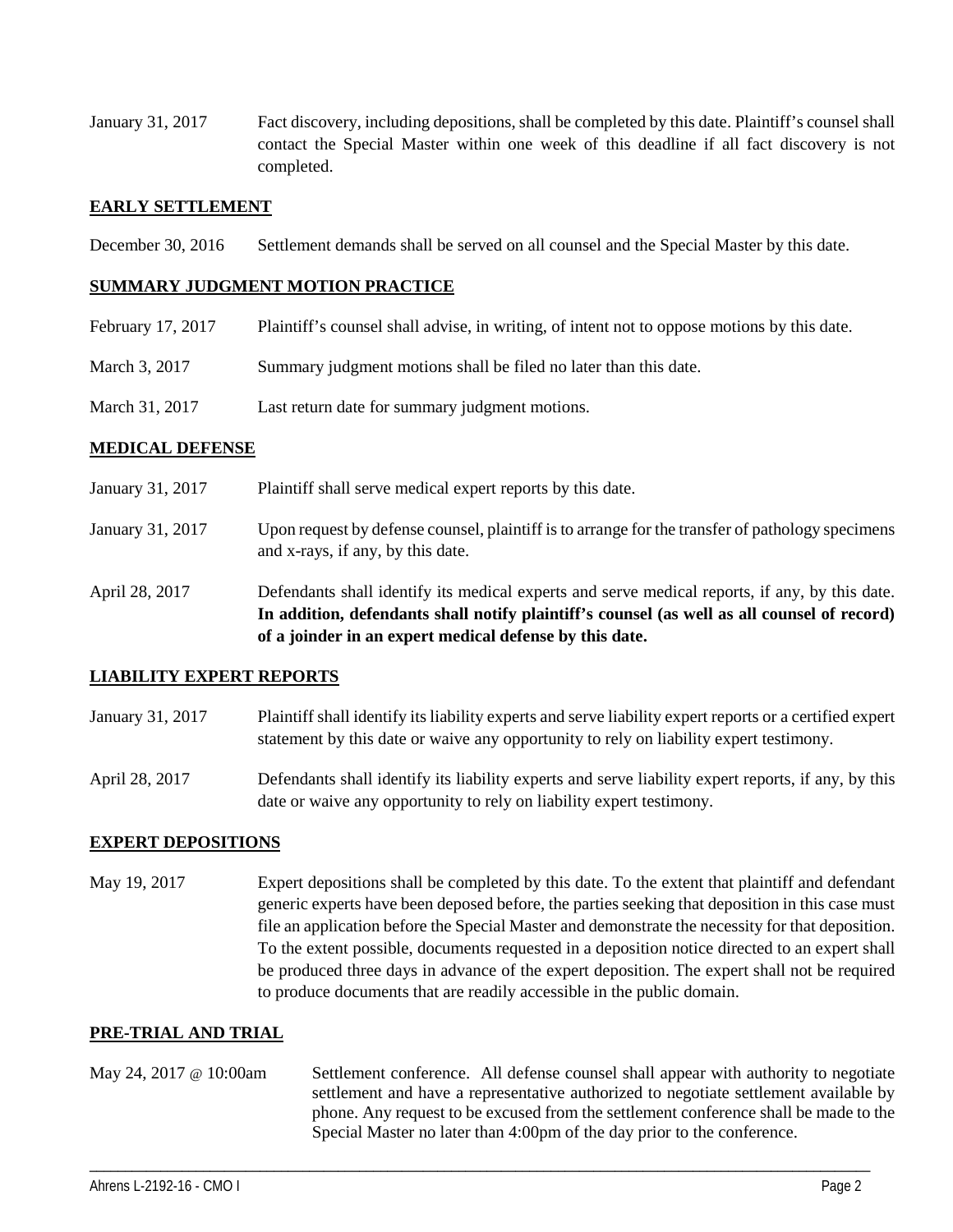January 31, 2017 Fact discovery, including depositions, shall be completed by this date. Plaintiff's counsel shall contact the Special Master within one week of this deadline if all fact discovery is not completed.

### **EARLY SETTLEMENT**

December 30, 2016 Settlement demands shall be served on all counsel and the Special Master by this date.

### **SUMMARY JUDGMENT MOTION PRACTICE**

| February 17, 2017 | Plaintiff's counsel shall advise, in writing, of intent not to oppose motions by this date. |
|-------------------|---------------------------------------------------------------------------------------------|
| March 3, 2017     | Summary judgment motions shall be filed no later than this date.                            |
| March 31, 2017    | Last return date for summary judgment motions.                                              |

### **MEDICAL DEFENSE**

| January 31, 2017 | Plaintiff shall serve medical expert reports by this date.                                                                                                                                                                                               |
|------------------|----------------------------------------------------------------------------------------------------------------------------------------------------------------------------------------------------------------------------------------------------------|
| January 31, 2017 | Upon request by defense counsel, plaintiff is to arrange for the transfer of pathology specimens<br>and x-rays, if any, by this date.                                                                                                                    |
| April 28, 2017   | Defendants shall identify its medical experts and serve medical reports, if any, by this date.<br>In addition, defendants shall notify plaintiff's counsel (as well as all counsel of record)<br>of a joinder in an expert medical defense by this date. |

#### **LIABILITY EXPERT REPORTS**

- January 31, 2017 Plaintiff shall identify its liability experts and serve liability expert reports or a certified expert statement by this date or waive any opportunity to rely on liability expert testimony.
- April 28, 2017 Defendants shall identify its liability experts and serve liability expert reports, if any, by this date or waive any opportunity to rely on liability expert testimony.

## **EXPERT DEPOSITIONS**

May 19, 2017 Expert depositions shall be completed by this date. To the extent that plaintiff and defendant generic experts have been deposed before, the parties seeking that deposition in this case must file an application before the Special Master and demonstrate the necessity for that deposition. To the extent possible, documents requested in a deposition notice directed to an expert shall be produced three days in advance of the expert deposition. The expert shall not be required to produce documents that are readily accessible in the public domain.

#### **PRE-TRIAL AND TRIAL**

May 24, 2017 @ 10:00am Settlement conference. All defense counsel shall appear with authority to negotiate settlement and have a representative authorized to negotiate settlement available by phone. Any request to be excused from the settlement conference shall be made to the Special Master no later than 4:00pm of the day prior to the conference.

\_\_\_\_\_\_\_\_\_\_\_\_\_\_\_\_\_\_\_\_\_\_\_\_\_\_\_\_\_\_\_\_\_\_\_\_\_\_\_\_\_\_\_\_\_\_\_\_\_\_\_\_\_\_\_\_\_\_\_\_\_\_\_\_\_\_\_\_\_\_\_\_\_\_\_\_\_\_\_\_\_\_\_\_\_\_\_\_\_\_\_\_\_\_\_\_\_\_\_\_\_\_\_\_\_\_\_\_\_\_